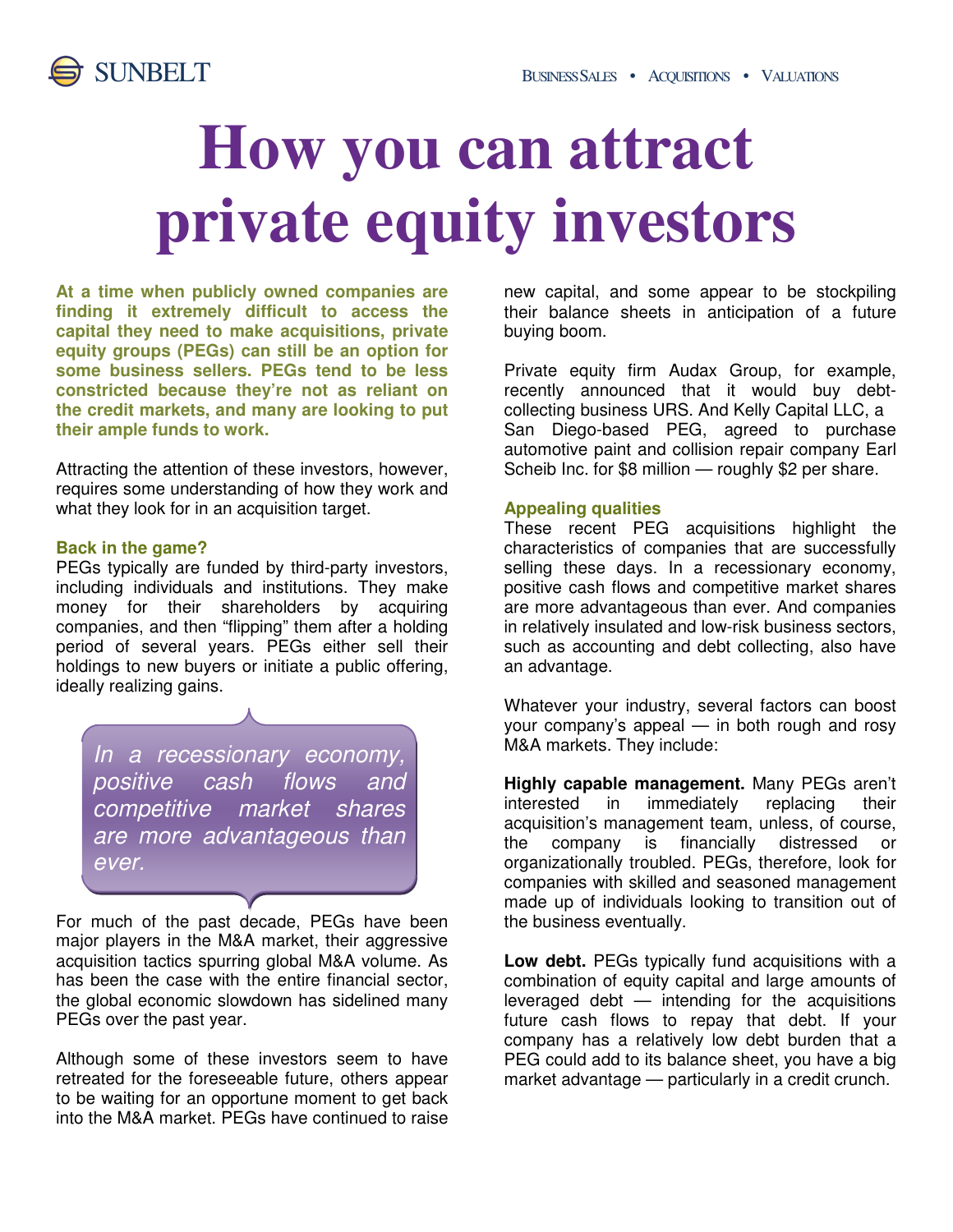

# **How you can attract private equity investors**

**At a time when publicly owned companies are finding it extremely difficult to access the capital they need to make acquisitions, private equity groups (PEGs) can still be an option for some business sellers. PEGs tend to be less constricted because they're not as reliant on the credit markets, and many are looking to put their ample funds to work.** 

Attracting the attention of these investors, however, requires some understanding of how they work and what they look for in an acquisition target.

#### **Back in the game?**

PEGs typically are funded by third-party investors, including individuals and institutions. They make money for their shareholders by acquiring companies, and then "flipping" them after a holding period of several years. PEGs either sell their holdings to new buyers or initiate a public offering, ideally realizing gains.

In a recessionary economy, positive cash flows and competitive market shares are more advantageous than ever.

For much of the past decade, PEGs have been major players in the M&A market, their aggressive acquisition tactics spurring global M&A volume. As has been the case with the entire financial sector, the global economic slowdown has sidelined many PEGs over the past year.

Although some of these investors seem to have retreated for the foreseeable future, others appear to be waiting for an opportune moment to get back into the M&A market. PEGs have continued to raise new capital, and some appear to be stockpiling their balance sheets in anticipation of a future buying boom.

Private equity firm Audax Group, for example, recently announced that it would buy debtcollecting business URS. And Kelly Capital LLC, a San Diego-based PEG, agreed to purchase automotive paint and collision repair company Earl Scheib Inc. for \$8 million — roughly \$2 per share.

### **Appealing qualities**

These recent PEG acquisitions highlight the characteristics of companies that are successfully selling these days. In a recessionary economy, positive cash flows and competitive market shares are more advantageous than ever. And companies in relatively insulated and low-risk business sectors, such as accounting and debt collecting, also have an advantage.

Whatever your industry, several factors can boost your company's appeal — in both rough and rosy M&A markets. They include:

**Highly capable management.** Many PEGs aren't interested in immediately replacing their acquisition's management team, unless, of course, the company is financially distressed or organizationally troubled. PEGs, therefore, look for companies with skilled and seasoned management made up of individuals looking to transition out of the business eventually.

**Low debt.** PEGs typically fund acquisitions with a combination of equity capital and large amounts of leveraged debt — intending for the acquisitions future cash flows to repay that debt. If your company has a relatively low debt burden that a PEG could add to its balance sheet, you have a big market advantage — particularly in a credit crunch.